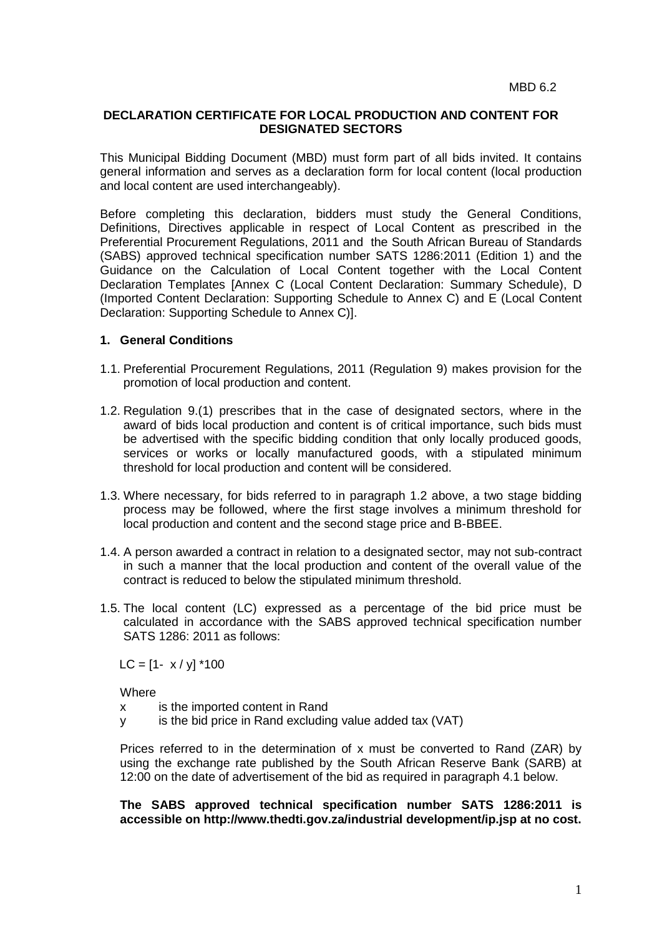## **DECLARATION CERTIFICATE FOR LOCAL PRODUCTION AND CONTENT FOR DESIGNATED SECTORS**

This Municipal Bidding Document (MBD) must form part of all bids invited. It contains general information and serves as a declaration form for local content (local production and local content are used interchangeably).

Before completing this declaration, bidders must study the General Conditions, Definitions, Directives applicable in respect of Local Content as prescribed in the Preferential Procurement Regulations, 2011 and the South African Bureau of Standards (SABS) approved technical specification number SATS 1286:2011 (Edition 1) and the Guidance on the Calculation of Local Content together with the Local Content Declaration Templates [Annex C (Local Content Declaration: Summary Schedule), D (Imported Content Declaration: Supporting Schedule to Annex C) and E (Local Content Declaration: Supporting Schedule to Annex C)].

## **1. General Conditions**

- 1.1. Preferential Procurement Regulations, 2011 (Regulation 9) makes provision for the promotion of local production and content.
- 1.2. Regulation 9.(1) prescribes that in the case of designated sectors, where in the award of bids local production and content is of critical importance, such bids must be advertised with the specific bidding condition that only locally produced goods, services or works or locally manufactured goods, with a stipulated minimum threshold for local production and content will be considered.
- 1.3. Where necessary, for bids referred to in paragraph 1.2 above, a two stage bidding process may be followed, where the first stage involves a minimum threshold for local production and content and the second stage price and B-BBEE.
- 1.4. A person awarded a contract in relation to a designated sector, may not sub-contract in such a manner that the local production and content of the overall value of the contract is reduced to below the stipulated minimum threshold.
- 1.5. The local content (LC) expressed as a percentage of the bid price must be calculated in accordance with the SABS approved technical specification number SATS 1286: 2011 as follows:

 $LC = [1 - x / y]$  \*100

**Where** 

- x is the imported content in Rand
- y is the bid price in Rand excluding value added tax (VAT)

Prices referred to in the determination of x must be converted to Rand (ZAR) by using the exchange rate published by the South African Reserve Bank (SARB) at 12:00 on the date of advertisement of the bid as required in paragraph 4.1 below.

**The SABS approved technical specification number SATS 1286:2011 is accessible on http://www.thedti.gov.za/industrial development/ip.jsp at no cost.**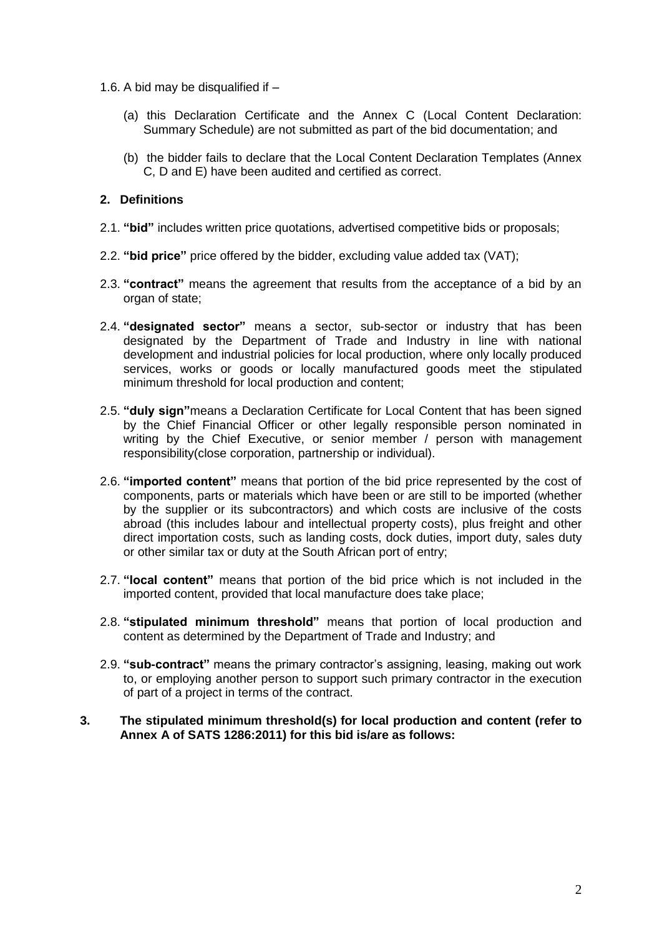- 1.6. A bid may be disqualified if
	- (a) this Declaration Certificate and the Annex C (Local Content Declaration: Summary Schedule) are not submitted as part of the bid documentation; and
	- (b) the bidder fails to declare that the Local Content Declaration Templates (Annex C, D and E) have been audited and certified as correct.

## **2. Definitions**

- 2.1. **"bid"** includes written price quotations, advertised competitive bids or proposals;
- 2.2. **"bid price"** price offered by the bidder, excluding value added tax (VAT);
- 2.3. **"contract"** means the agreement that results from the acceptance of a bid by an organ of state;
- 2.4. **"designated sector"** means a sector, sub-sector or industry that has been designated by the Department of Trade and Industry in line with national development and industrial policies for local production, where only locally produced services, works or goods or locally manufactured goods meet the stipulated minimum threshold for local production and content;
- 2.5. **"duly sign"**means a Declaration Certificate for Local Content that has been signed by the Chief Financial Officer or other legally responsible person nominated in writing by the Chief Executive, or senior member / person with management responsibility(close corporation, partnership or individual).
- 2.6. **"imported content"** means that portion of the bid price represented by the cost of components, parts or materials which have been or are still to be imported (whether by the supplier or its subcontractors) and which costs are inclusive of the costs abroad (this includes labour and intellectual property costs), plus freight and other direct importation costs, such as landing costs, dock duties, import duty, sales duty or other similar tax or duty at the South African port of entry;
- 2.7. **"local content"** means that portion of the bid price which is not included in the imported content, provided that local manufacture does take place;
- 2.8. **"stipulated minimum threshold"** means that portion of local production and content as determined by the Department of Trade and Industry; and
- 2.9. **"sub-contract"** means the primary contractor's assigning, leasing, making out work to, or employing another person to support such primary contractor in the execution of part of a project in terms of the contract.
- **3. The stipulated minimum threshold(s) for local production and content (refer to Annex A of SATS 1286:2011) for this bid is/are as follows:**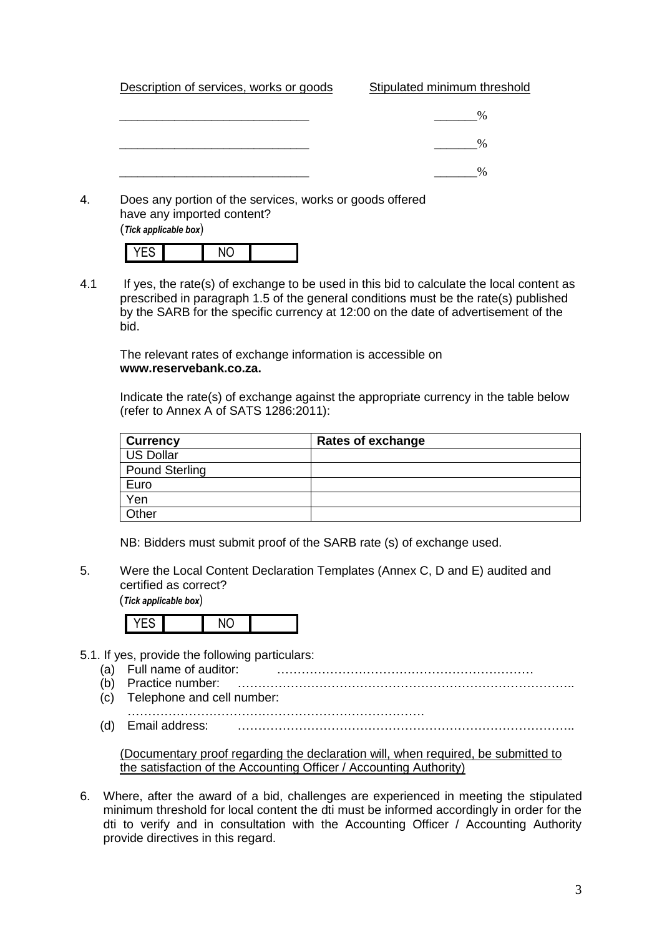| Description of services, works or goods | Stipulated minimum threshold |
|-----------------------------------------|------------------------------|
|                                         | $\%$                         |
|                                         |                              |
|                                         | $\%$                         |
|                                         | $\frac{0}{6}$                |
|                                         |                              |

4. Does any portion of the services, works or goods offered have any imported content? (*Tick applicable box*)

| . . |                |  |
|-----|----------------|--|
|     | $\overline{M}$ |  |

4.1 If yes, the rate(s) of exchange to be used in this bid to calculate the local content as prescribed in paragraph 1.5 of the general conditions must be the rate(s) published by the SARB for the specific currency at 12:00 on the date of advertisement of the bid.

The relevant rates of exchange information is accessible on **www.reservebank.co.za.**

Indicate the rate(s) of exchange against the appropriate currency in the table below (refer to Annex A of SATS 1286:2011):

| <b>Currency</b>       | Rates of exchange |
|-----------------------|-------------------|
| <b>US Dollar</b>      |                   |
| <b>Pound Sterling</b> |                   |
| Euro                  |                   |
| Yen                   |                   |
| Other                 |                   |

NB: Bidders must submit proof of the SARB rate (s) of exchange used.

5. Were the Local Content Declaration Templates (Annex C, D and E) audited and certified as correct?

(*Tick applicable box*)

|--|--|--|--|--|

- 5.1. If yes, provide the following particulars:
	- (a) Full name of auditor: ………………………………………………………
	- (b) Practice number: ……………………………………………………………………….. (c) Telephone and cell number:
	- ……………………………………………………………….
	- (d) Email address: ………………………………………………………………………..

(Documentary proof regarding the declaration will, when required, be submitted to the satisfaction of the Accounting Officer / Accounting Authority)

6. Where, after the award of a bid, challenges are experienced in meeting the stipulated minimum threshold for local content the dti must be informed accordingly in order for the dti to verify and in consultation with the Accounting Officer / Accounting Authority provide directives in this regard.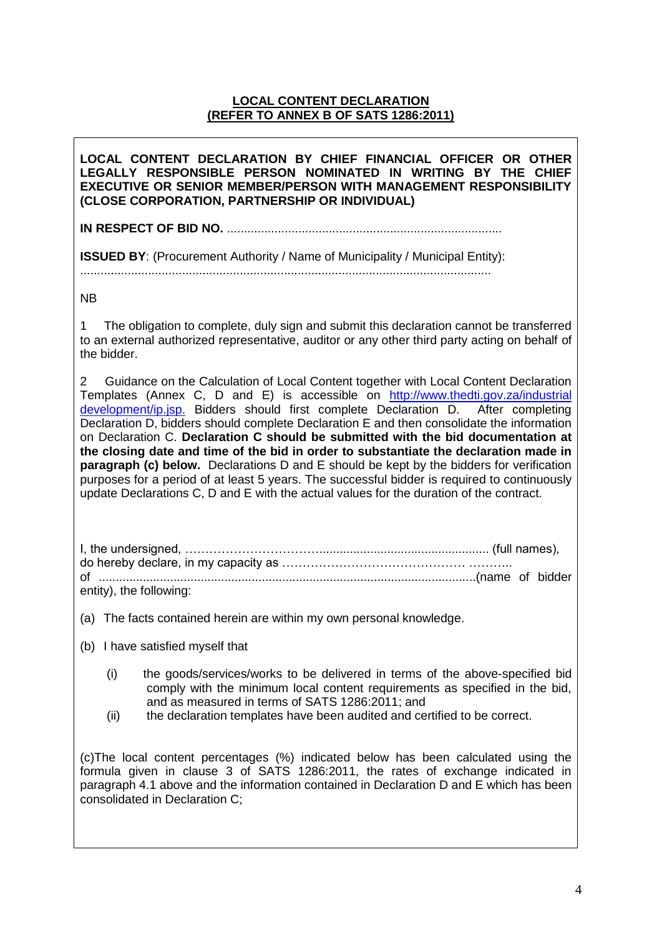## **LOCAL CONTENT DECLARATION (REFER TO ANNEX B OF SATS 1286:2011)**

**LOCAL CONTENT DECLARATION BY CHIEF FINANCIAL OFFICER OR OTHER LEGALLY RESPONSIBLE PERSON NOMINATED IN WRITING BY THE CHIEF EXECUTIVE OR SENIOR MEMBER/PERSON WITH MANAGEMENT RESPONSIBILITY (CLOSE CORPORATION, PARTNERSHIP OR INDIVIDUAL)** 

**IN RESPECT OF BID NO.** .................................................................................

**ISSUED BY:** (Procurement Authority / Name of Municipality / Municipal Entity):

.........................................................................................................................

NB

1 The obligation to complete, duly sign and submit this declaration cannot be transferred to an external authorized representative, auditor or any other third party acting on behalf of the bidder.

2 Guidance on the Calculation of Local Content together with Local Content Declaration Templates (Annex C, D and E) is accessible on [http://www.thedti.gov.za/industrial](http://www.thedti.gov.za/industrial%20development/ip.jsp.)  [development/ip.jsp.](http://www.thedti.gov.za/industrial%20development/ip.jsp.) Bidders should first complete Declaration D. After completing Declaration D, bidders should complete Declaration E and then consolidate the information on Declaration C. **Declaration C should be submitted with the bid documentation at the closing date and time of the bid in order to substantiate the declaration made in paragraph (c) below.** Declarations D and E should be kept by the bidders for verification purposes for a period of at least 5 years. The successful bidder is required to continuously update Declarations C, D and E with the actual values for the duration of the contract.

I, the undersigned, …………………………….................................................. (full names), do hereby declare, in my capacity as ……………………………………… ……….. of ...............................................................................................................(name of bidder entity), the following:

(a) The facts contained herein are within my own personal knowledge.

- (b) I have satisfied myself that
	- (i) the goods/services/works to be delivered in terms of the above-specified bid comply with the minimum local content requirements as specified in the bid, and as measured in terms of SATS 1286:2011; and
	- (ii) the declaration templates have been audited and certified to be correct.

(c)The local content percentages (%) indicated below has been calculated using the formula given in clause 3 of SATS 1286:2011, the rates of exchange indicated in paragraph 4.1 above and the information contained in Declaration D and E which has been consolidated in Declaration C;